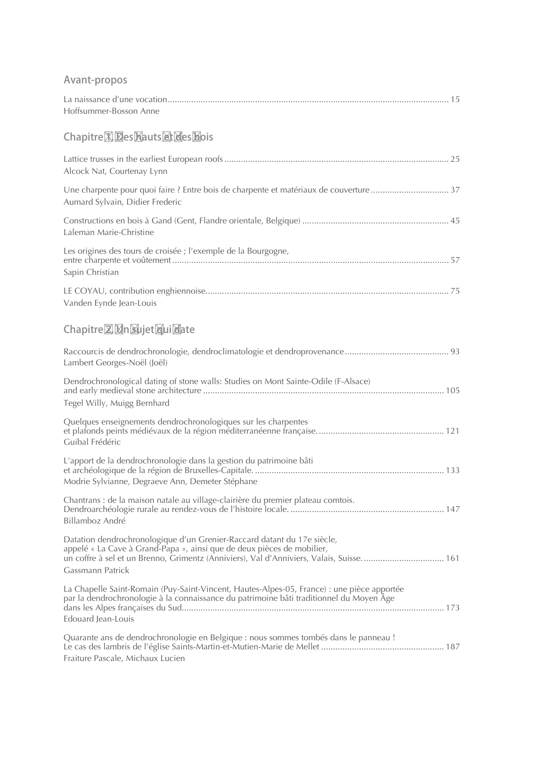## Avant-propos

| Hoffsummer-Bosson Anne                                                                                                                                                                                                                                             |  |
|--------------------------------------------------------------------------------------------------------------------------------------------------------------------------------------------------------------------------------------------------------------------|--|
| Chapitre X Bes hauts & des bois                                                                                                                                                                                                                                    |  |
| Alcock Nat, Courtenay Lynn                                                                                                                                                                                                                                         |  |
| Aumard Sylvain, Didier Frederic                                                                                                                                                                                                                                    |  |
| Laleman Marie-Christine                                                                                                                                                                                                                                            |  |
| Les origines des tours de croisée ; l'exemple de la Bourgogne,<br>Sapin Christian                                                                                                                                                                                  |  |
| Vanden Eynde Jean-Louis                                                                                                                                                                                                                                            |  |
| Chapitre & Mn Sujet dui date                                                                                                                                                                                                                                       |  |
| Lambert Georges-Noël (Joël)                                                                                                                                                                                                                                        |  |
| Dendrochronological dating of stone walls: Studies on Mont Sainte-Odile (F-Alsace)<br>Tegel Willy, Muigg Bernhard                                                                                                                                                  |  |
| Quelques enseignements dendrochronologiques sur les charpentes<br>Guibal Frédéric                                                                                                                                                                                  |  |
| L'apport de la dendrochronologie dans la gestion du patrimoine bâti<br>Modrie Sylvianne, Degraeve Ann, Demeter Stéphane                                                                                                                                            |  |
| Chantrans : de la maison natale au village-clairière du premier plateau comtois.<br>Billamboz André                                                                                                                                                                |  |
| Datation dendrochronologique d'un Grenier-Raccard datant du 17e siècle,<br>appelé « La Cave à Grand-Papa », ainsi que de deux pièces de mobilier,<br>un coffre à sel et un Brenno, Grimentz (Anniviers), Val d'Anniviers, Valais, Suisse.  161<br>Gassmann Patrick |  |
| La Chapelle Saint-Romain (Puy-Saint-Vincent, Hautes-Alpes-05, France) : une pièce apportée<br>par la dendrochronologie à la connaissance du patrimoine bâti traditionnel du Moyen Âge<br>Edouard Jean-Louis                                                        |  |
| Quarante ans de dendrochronologie en Belgique : nous sommes tombés dans le panneau !<br>Fraiture Pascale, Michaux Lucien                                                                                                                                           |  |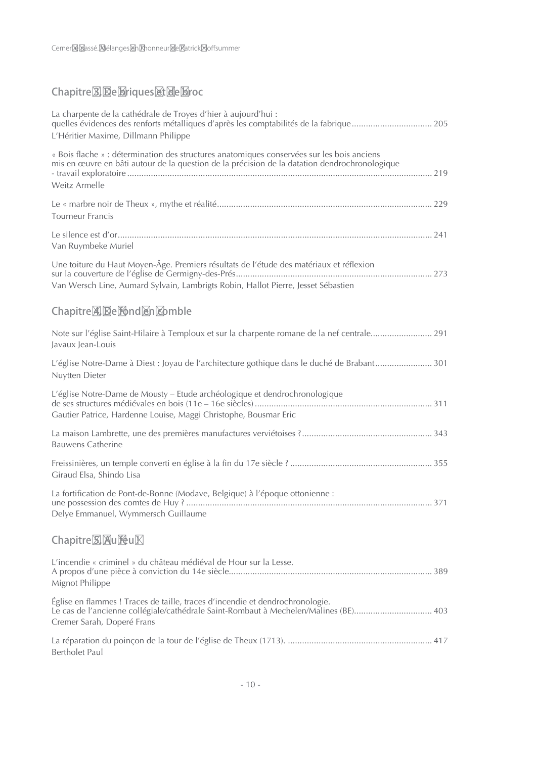## Chapitre<sup>2</sup> De briques & de broc

| La charpente de la cathédrale de Troyes d'hier à aujourd'hui :<br>L'Héritier Maxime, Dillmann Philippe                                                                                                       |
|--------------------------------------------------------------------------------------------------------------------------------------------------------------------------------------------------------------|
| « Bois flache » : détermination des structures anatomiques conservées sur les bois anciens<br>mis en œuvre en bâti autour de la question de la précision de la datation dendrochronologique<br>Weitz Armelle |
| <b>Tourneur Francis</b>                                                                                                                                                                                      |
| Van Ruymbeke Muriel                                                                                                                                                                                          |
| Une toiture du Haut Moyen-Âge. Premiers résultats de l'étude des matériaux et réflexion<br>Van Wersch Line, Aumard Sylvain, Lambrigts Robin, Hallot Pierre, Jesset Sébastien                                 |
| Chapitre <b>A Be Mond An Komble</b>                                                                                                                                                                          |
| Note sur l'église Saint-Hilaire à Temploux et sur la charpente romane de la nef centrale 291<br>Javaux Jean-Louis                                                                                            |
| L'église Notre-Dame à Diest : Joyau de l'architecture gothique dans le duché de Brabant 301<br>Nuytten Dieter                                                                                                |
| L'église Notre-Dame de Mousty – Etude archéologique et dendrochronologique<br>Gautier Patrice, Hardenne Louise, Maggi Christophe, Bousmar Eric                                                               |
| <b>Bauwens Catherine</b>                                                                                                                                                                                     |
| Giraud Elsa, Shindo Lisa                                                                                                                                                                                     |
| La fortification de Pont-de-Bonne (Modave, Belgique) à l'époque ottonienne :<br>Delye Emmanuel, Wymmersch Guillaume                                                                                          |
| Chapitre & Aufeuk                                                                                                                                                                                            |
| L'incendie « criminel » du château médiéval de Hour sur la Lesse.<br>Mignot Philippe                                                                                                                         |
| Église en flammes ! Traces de taille, traces d'incendie et dendrochronologie.<br>Le cas de l'ancienne collégiale/cathédrale Saint-Rombaut à Mechelen/Malines (BE) 403<br>Cremer Sarah, Doperé Frans          |
| Bertholet Paul                                                                                                                                                                                               |